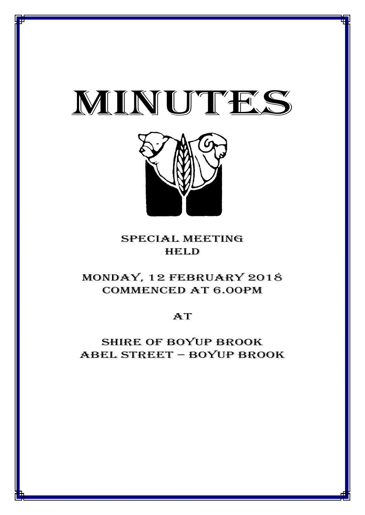



## special meeting **HELD**

# MONDAY, 12 FEBRUARY 2018 CommencED at 6.00PM

**AT** 

Shire of boyup brook ABEL STREET – BOYUP BROOK

1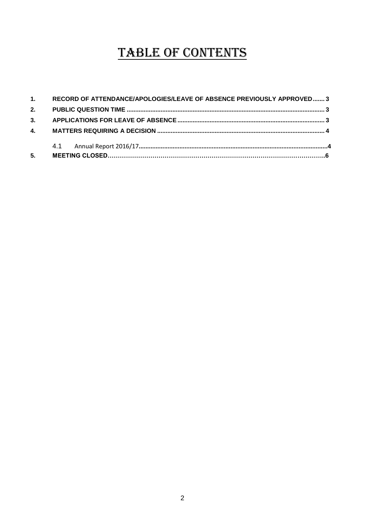# TABLE OF CONTENTS

| 5. |                                                                          |  |
|----|--------------------------------------------------------------------------|--|
|    |                                                                          |  |
|    |                                                                          |  |
|    |                                                                          |  |
|    |                                                                          |  |
|    | 1. RECORD OF ATTENDANCE/APOLOGIES/LEAVE OF ABSENCE PREVIOUSLY APPROVED 3 |  |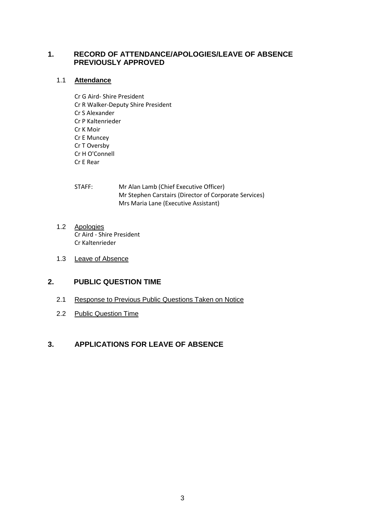#### <span id="page-2-0"></span>**1. RECORD OF ATTENDANCE/APOLOGIES/LEAVE OF ABSENCE PREVIOUSLY APPROVED**

#### 1.1 **Attendance**

Cr G Aird- Shire President Cr R Walker-Deputy Shire President Cr S Alexander Cr P Kaltenrieder Cr K Moir Cr E Muncey Cr T Oversby Cr H O'Connell Cr E Rear

| STAFF: | Mr Alan Lamb (Chief Executive Officer)                |
|--------|-------------------------------------------------------|
|        | Mr Stephen Carstairs (Director of Corporate Services) |
|        | Mrs Maria Lane (Executive Assistant)                  |

- 1.2 Apologies Cr Aird - Shire President Cr Kaltenrieder
- 1.3 Leave of Absence

### <span id="page-2-1"></span>**2. PUBLIC QUESTION TIME**

- 2.1 Response to Previous Public Questions Taken on Notice
- 2.2 Public Question Time

#### <span id="page-2-2"></span>**3. APPLICATIONS FOR LEAVE OF ABSENCE**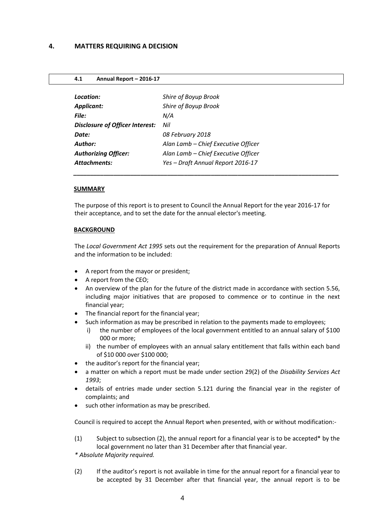<span id="page-3-0"></span>

| Shire of Boyup Brook                |
|-------------------------------------|
| Shire of Boyup Brook                |
| N/A                                 |
| Nil                                 |
| 08 February 2018                    |
| Alan Lamb - Chief Executive Officer |
| Alan Lamb - Chief Executive Officer |
| Yes - Draft Annual Report 2016-17   |
|                                     |

#### **SUMMARY**

The purpose of this report is to present to Council the Annual Report for the year 2016-17 for their acceptance, and to set the date for the annual elector's meeting.

*\_\_\_\_\_\_\_\_\_\_\_\_\_\_\_\_\_\_\_\_\_\_\_\_\_\_\_\_\_\_\_\_\_\_\_\_\_\_\_\_\_\_\_\_\_\_\_\_\_\_\_\_\_\_\_\_\_\_\_\_\_\_\_\_\_\_\_\_\_\_\_\_\_\_\_\_\_\_\_*

#### **BACKGROUND**

The *Local Government Act 1995* sets out the requirement for the preparation of Annual Reports and the information to be included:

- A report from the mayor or president;
- A report from the CEO;
- An overview of the plan for the future of the district made in accordance with section 5.56, including major initiatives that are proposed to commence or to continue in the next financial year;
- The financial report for the financial year;
- Such information as may be prescribed in relation to the payments made to employees;
	- i) the number of employees of the local government entitled to an annual salary of \$100 000 or more;
	- ii) the number of employees with an annual salary entitlement that falls within each band of \$10 000 over \$100 000;
- the auditor's report for the financial year;
- a matter on which a report must be made under section 29(2) of the *Disability Services Act 1993*;
- details of entries made under section 5.121 during the financial year in the register of complaints; and
- such other information as may be prescribed.

Council is required to accept the Annual Report when presented, with or without modification:-

(1) Subject to subsection (2), the annual report for a financial year is to be accepted\* by the local government no later than 31 December after that financial year.

*\* Absolute Majority required.*

(2) If the auditor's report is not available in time for the annual report for a financial year to be accepted by 31 December after that financial year, the annual report is to be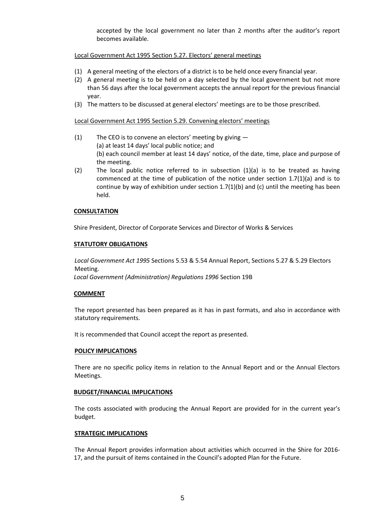accepted by the local government no later than 2 months after the auditor's report becomes available.

#### Local Government Act 1995 Section 5.27. Electors' general meetings

- (1) A general meeting of the electors of a district is to be held once every financial year.
- (2) A general meeting is to be held on a day selected by the local government but not more than 56 days after the local government accepts the annual report for the previous financial year.
- (3) The matters to be discussed at general electors' meetings are to be those prescribed.

#### Local Government Act 1995 Section 5.29. Convening electors' meetings

- (1) The CEO is to convene an electors' meeting by giving  $-$ (a) at least 14 days' local public notice; and (b) each council member at least 14 days' notice, of the date, time, place and purpose of the meeting.
- (2) The local public notice referred to in subsection (1)(a) is to be treated as having commenced at the time of publication of the notice under section  $1.7(1)(a)$  and is to continue by way of exhibition under section  $1.7(1)(b)$  and (c) until the meeting has been held.

#### **CONSULTATION**

Shire President, Director of Corporate Services and Director of Works & Services

#### **STATUTORY OBLIGATIONS**

*Local Government Act 1995* Sections 5.53 & 5.54 Annual Report, Sections 5.27 & 5.29 Electors Meeting.

*Local Government (Administration) Regulations 1996* Section 19B

#### **COMMENT**

The report presented has been prepared as it has in past formats, and also in accordance with statutory requirements.

It is recommended that Council accept the report as presented.

#### **POLICY IMPLICATIONS**

There are no specific policy items in relation to the Annual Report and or the Annual Electors Meetings.

#### **BUDGET/FINANCIAL IMPLICATIONS**

The costs associated with producing the Annual Report are provided for in the current year's budget.

#### **STRATEGIC IMPLICATIONS**

The Annual Report provides information about activities which occurred in the Shire for 2016- 17, and the pursuit of items contained in the Council's adopted Plan for the Future.